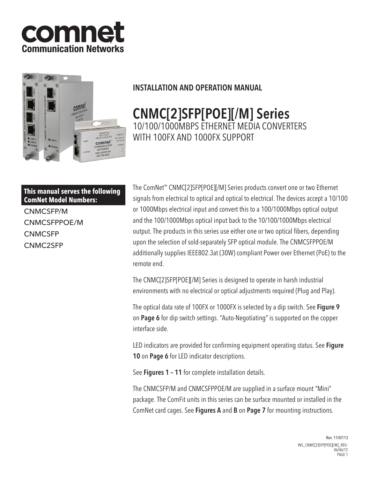



# INSTALLATION AND OPERATION MANUAL

# CNMC[2]SFP[POE][/M] Series 10/100/1000MBPS ETHERNET MEDIA CONVERTERS WITH 100FX AND 1000FX SUPPORT

# **This manual serves the following ComNet Model Numbers:**

CNMCSFP/M CNMCSFPPOE/M **CNMCSFP** CNMC2SFP

The ComNet™ CNMC[2]SFP[POE][/M] Series products convert one or two Ethernet signals from electrical to optical and optical to electrical. The devices accept a 10/100 or 1000Mbps electrical input and convert this to a 100/1000Mbps optical output and the 100/1000Mbps optical input back to the 10/100/1000Mbps electrical output. The products in this series use either one or two optical fibers, depending upon the selection of sold-separately SFP optical module. The CNMCSFPPOE/M additionally supplies IEEE802.3at (30W) compliant Power over Ethernet (PoE) to the remote end.

The CNMC[2]SFP[POE][/M] Series is designed to operate in harsh industrial environments with no electrical or optical adjustments required (Plug and Play).

The optical data rate of 100FX or 1000FX is selected by a dip switch. See Figure 9 on Page 6 for dip switch settings. "Auto-Negotiating" is supported on the copper interface side.

LED indicators are provided for confirming equipment operating status. See Figure 10 on Page 6 for LED indicator descriptions.

See Figures 1 - 11 for complete installation details.

The CNMCSFP/M and CNMCSFPPOE/M are supplied in a surface mount "Mini" package. The ComFit units in this series can be surface mounted or installed in the ComNet card cages. See Figures A and B on Page 7 for mounting instructions.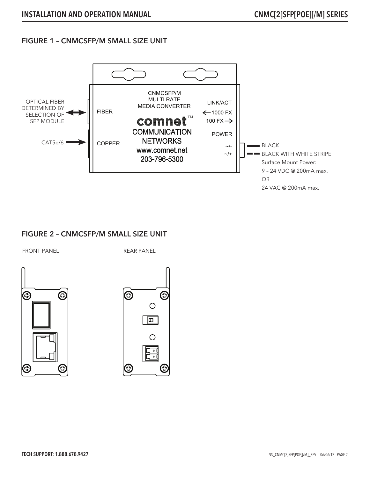#### FIGURE 1 – CNMCSFP/M SMALL SIZE UNIT



#### FIGURE 2 – CNMCSFP/M SMALL SIZE UNIT

FRONT PANEL THE REAR PANEL



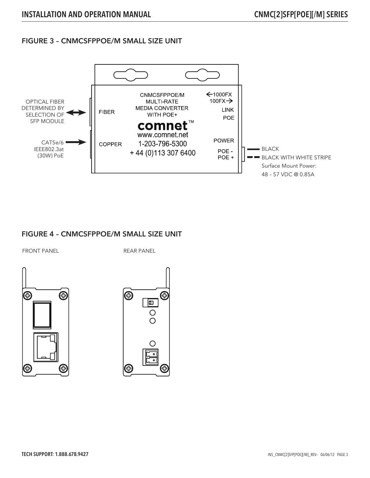#### FIGURE 3 – CNMCSFPPOE/M SMALL SIZE UNIT



#### FIGURE 4 – CNMCSFPPOE/M SMALL SIZE UNIT

FRONT PANEL THE REAR PANEL



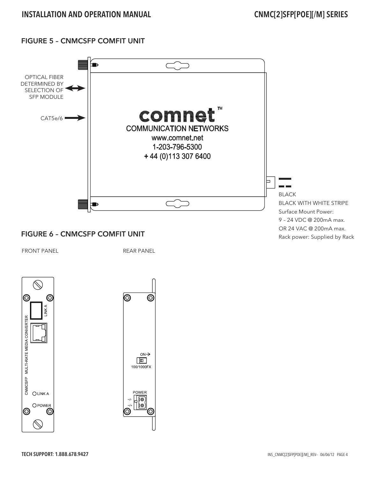### FIGURE 5 – CNMCSFP COMFIT UNIT



# FIGURE 6 – CNMCSFP COMFIT UNIT

FRONT PANEL THE REAR PANEL





Rack power: Supplied by Rack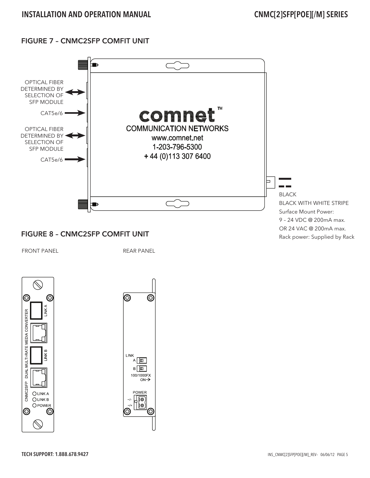# FIGURE 7 – CNMC2SFP COMFIT UNIT



# FIGURE 8 – CNMC2SFP COMFIT UNIT

FRONT PANEL THE REAR PANEL





Rack power: Supplied by Rack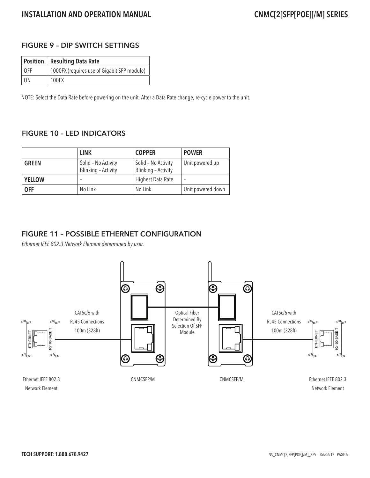#### FIGURE 9 – DIP SWITCH SETTINGS

|      | <b>Position Resulting Data Rate</b>         |
|------|---------------------------------------------|
| 0FF  | 1000FX (requires use of Gigabit SFP module) |
| - ON | 100FX                                       |

NOTE: Select the Data Rate before powering on the unit. After a Data Rate change, re-cycle power to the unit.

#### FIGURE 10 – LED INDICATORS

|               | <b>LINK</b>                                | <b>COPPER</b>                              | <b>POWER</b>      |
|---------------|--------------------------------------------|--------------------------------------------|-------------------|
| <b>GREEN</b>  | Solid - No Activity<br>Blinking - Activity | Solid - No Activity<br>Blinking - Activity | Unit powered up   |
| <b>YELLOW</b> |                                            | Highest Data Rate                          |                   |
| <b>OFF</b>    | No Link                                    | No Link                                    | Unit powered down |

#### FIGURE 11 – POSSIBLE ETHERNET CONFIGURATION

Ethernet IEEE 802.3 Network Element determined by user.